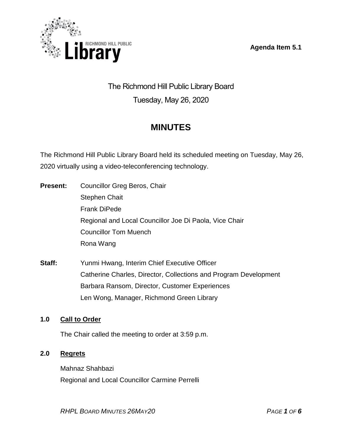**Agenda Item 5.1**



# The Richmond Hill Public Library Board Tuesday, May 26, 2020

# **MINUTES**

The Richmond Hill Public Library Board held its scheduled meeting on Tuesday, May 26, 2020 virtually using a video-teleconferencing technology.

- **Present:** Councillor Greg Beros, Chair Stephen Chait Frank DiPede Regional and Local Councillor Joe Di Paola, Vice Chair Councillor Tom Muench Rona Wang
- **Staff:** Yunmi Hwang, Interim Chief Executive Officer Catherine Charles, Director, Collections and Program Development Barbara Ransom, Director, Customer Experiences Len Wong, Manager, Richmond Green Library

# **1.0 Call to Order**

The Chair called the meeting to order at 3:59 p.m.

# **2.0 Regrets**

Mahnaz Shahbazi Regional and Local Councillor Carmine Perrelli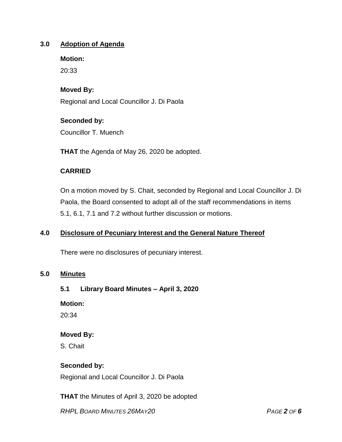# **3.0 Adoption of Agenda**

**Motion:**

20:33

# **Moved By:**

Regional and Local Councillor J. Di Paola

## **Seconded by:**

Councillor T. Muench

**THAT** the Agenda of May 26, 2020 be adopted.

## **CARRIED**

On a motion moved by S. Chait, seconded by Regional and Local Councillor J. Di Paola, the Board consented to adopt all of the staff recommendations in items 5.1, 6.1, 7.1 and 7.2 without further discussion or motions.

# **4.0 Disclosure of Pecuniary Interest and the General Nature Thereof**

There were no disclosures of pecuniary interest.

#### **5.0 Minutes**

#### **5.1 Library Board Minutes – April 3, 2020**

**Motion:**

20:34

#### **Moved By:**

S. Chait

#### **Seconded by:**

Regional and Local Councillor J. Di Paola

**THAT** the Minutes of April 3, 2020 be adopted

*RHPL BOARD MINUTES 26MAY20 PAGE 2 OF 6*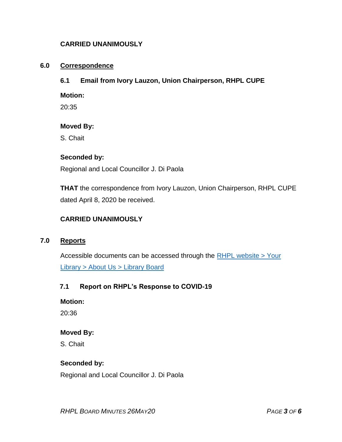# **CARRIED UNANIMOUSLY**

#### **6.0 Correspondence**

# **6.1 Email from Ivory Lauzon, Union Chairperson, RHPL CUPE**

**Motion:**

20:35

## **Moved By:**

S. Chait

## **Seconded by:**

Regional and Local Councillor J. Di Paola

**THAT** the correspondence from Ivory Lauzon, Union Chairperson, RHPL CUPE dated April 8, 2020 be received.

# **CARRIED UNANIMOUSLY**

#### **7.0 Reports**

Accessible documents can be accessed through the [RHPL website > Your](https://www.rhpl.ca/your-library/about-us/library-board)  Library [> About Us > Library](https://www.rhpl.ca/your-library/about-us/library-board) Board

# **7.1 Report on RHPL's Response to COVID-19**

**Motion:** 

20:36

#### **Moved By:**

S. Chait

# **Seconded by:**

Regional and Local Councillor J. Di Paola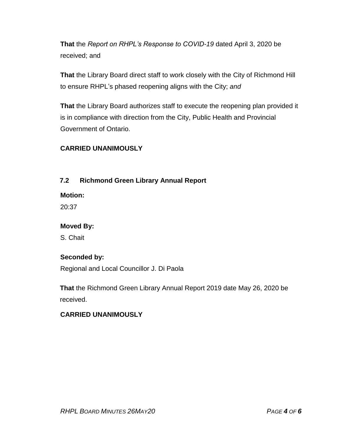**That** the *Report on RHPL's Response to COVID-19* dated April 3, 2020 be received; and

**That** the Library Board direct staff to work closely with the City of Richmond Hill to ensure RHPL's phased reopening aligns with the City; *and*

**That** the Library Board authorizes staff to execute the reopening plan provided it is in compliance with direction from the City, Public Health and Provincial Government of Ontario.

# **CARRIED UNANIMOUSLY**

# **7.2 Richmond Green Library Annual Report**

**Motion:** 

20:37

# **Moved By:**

S. Chait

# **Seconded by:**

Regional and Local Councillor J. Di Paola

**That** the Richmond Green Library Annual Report 2019 date May 26, 2020 be received.

# **CARRIED UNANIMOUSLY**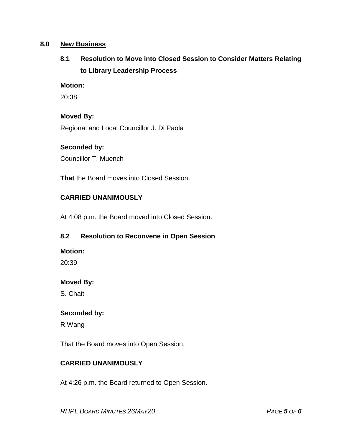## **8.0 New Business**

# **8.1 Resolution to Move into Closed Session to Consider Matters Relating to Library Leadership Process**

#### **Motion:**

20:38

#### **Moved By:**

Regional and Local Councillor J. Di Paola

# **Seconded by:**

Councillor T. Muench

**That** the Board moves into Closed Session.

## **CARRIED UNANIMOUSLY**

At 4:08 p.m. the Board moved into Closed Session.

# **8.2 Resolution to Reconvene in Open Session**

#### **Motion:**

20:39

#### **Moved By:**

S. Chait

#### **Seconded by:**

R.Wang

That the Board moves into Open Session.

#### **CARRIED UNANIMOUSLY**

At 4:26 p.m. the Board returned to Open Session.